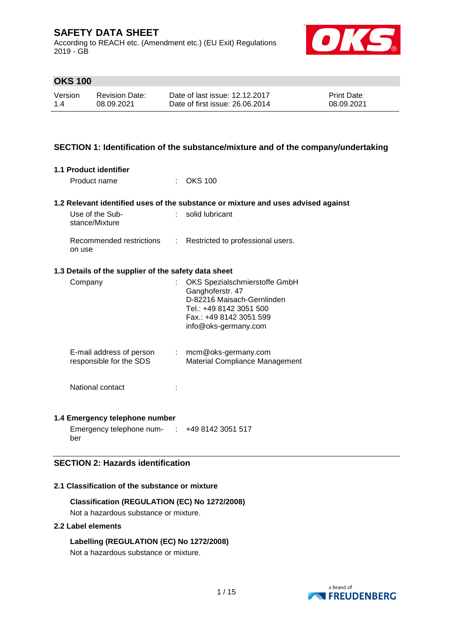According to REACH etc. (Amendment etc.) (EU Exit) Regulations 2019 - GB



## **OKS 100**

| Version | Revision Date: | Date of last issue: 12.12.2017  | <b>Print Date:</b> |
|---------|----------------|---------------------------------|--------------------|
| 1.4     | 08.09.2021     | Date of first issue: 26,06,2014 | 08.09.2021         |

### **SECTION 1: Identification of the substance/mixture and of the company/undertaking**

|  | <b>1.1 Product identifier</b> |
|--|-------------------------------|
|  |                               |

Product name : OKS 100

#### **1.2 Relevant identified uses of the substance or mixture and uses advised against**

| Use of the Sub-<br>stance/Mixture  | : solid lubricant                   |
|------------------------------------|-------------------------------------|
| Recommended restrictions<br>on use | : Restricted to professional users. |

### **1.3 Details of the supplier of the safety data sheet**

| Company                                             |    | OKS Spezialschmierstoffe GmbH<br>Ganghoferstr. 47<br>D-82216 Maisach-Gernlinden<br>Tel.: +49 8142 3051 500<br>Fax.: +49 8142 3051 599<br>info@oks-germany.com |
|-----------------------------------------------------|----|---------------------------------------------------------------------------------------------------------------------------------------------------------------|
| E-mail address of person<br>responsible for the SDS | ÷. | mcm@oks-germany.com<br>Material Compliance Management                                                                                                         |
| National contact                                    |    |                                                                                                                                                               |

#### **1.4 Emergency telephone number**

Emergency telephone num-: +49 8142 3051 517 ber

## **SECTION 2: Hazards identification**

### **2.1 Classification of the substance or mixture**

**Classification (REGULATION (EC) No 1272/2008)**

Not a hazardous substance or mixture.

### **2.2 Label elements**

## **Labelling (REGULATION (EC) No 1272/2008)**

Not a hazardous substance or mixture.

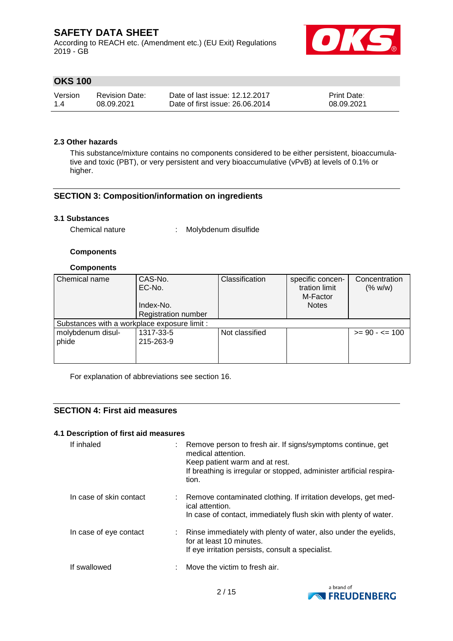According to REACH etc. (Amendment etc.) (EU Exit) Regulations 2019 - GB



## **OKS 100**

| Version | <b>Revision Date:</b> | Date of last issue: 12.12.2017  | <b>Print Date:</b> |
|---------|-----------------------|---------------------------------|--------------------|
| 1.4     | 08.09.2021            | Date of first issue: 26,06,2014 | 08.09.2021         |

### **2.3 Other hazards**

This substance/mixture contains no components considered to be either persistent, bioaccumulative and toxic (PBT), or very persistent and very bioaccumulative (vPvB) at levels of 0.1% or higher.

## **SECTION 3: Composition/information on ingredients**

### **3.1 Substances**

Chemical nature : Molybdenum disulfide

### **Components**

### **Components**

| Chemical name                                | CAS-No.<br>EC-No.          | Classification | specific concen-<br>tration limit | Concentration<br>(% w/w) |
|----------------------------------------------|----------------------------|----------------|-----------------------------------|--------------------------|
|                                              | Index-No.                  |                | M-Factor<br><b>Notes</b>          |                          |
|                                              | <b>Registration number</b> |                |                                   |                          |
| Substances with a workplace exposure limit : |                            |                |                                   |                          |
| molybdenum disul-                            | 1317-33-5                  | Not classified |                                   | $>= 90 - 5 = 100$        |
| phide                                        | 215-263-9                  |                |                                   |                          |
|                                              |                            |                |                                   |                          |
|                                              |                            |                |                                   |                          |

For explanation of abbreviations see section 16.

### **SECTION 4: First aid measures**

### **4.1 Description of first aid measures**

| If inhaled              |                               | Remove person to fresh air. If signs/symptoms continue, get<br>medical attention.<br>Keep patient warm and at rest.<br>If breathing is irregular or stopped, administer artificial respira-<br>tion. |
|-------------------------|-------------------------------|------------------------------------------------------------------------------------------------------------------------------------------------------------------------------------------------------|
| In case of skin contact |                               | Remove contaminated clothing. If irritation develops, get med-<br>ical attention.<br>In case of contact, immediately flush skin with plenty of water.                                                |
| In case of eye contact  |                               | Rinse immediately with plenty of water, also under the eyelids,<br>for at least 10 minutes.<br>If eye irritation persists, consult a specialist.                                                     |
| If swallowed            | $\mathcal{F}_{\mathcal{A}}$ . | Move the victim to fresh air.                                                                                                                                                                        |

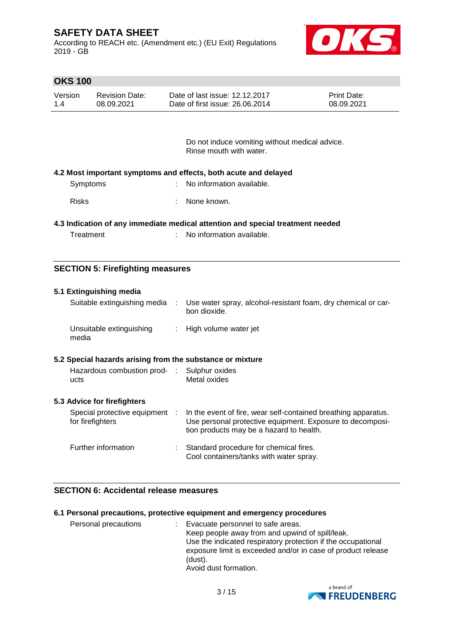According to REACH etc. (Amendment etc.) (EU Exit) Regulations 2019 - GB



## **OKS 100**

| Version | <b>Revision Date:</b> | Date of last issue: 12.12.2017  | <b>Print Date:</b> |
|---------|-----------------------|---------------------------------|--------------------|
| 1.4     | 08.09.2021            | Date of first issue: 26,06,2014 | 08.09.2021         |

Do not induce vomiting without medical advice. Rinse mouth with water.

| 4.2 Most important symptoms and effects, both acute and delayed |  |  |  |  |
|-----------------------------------------------------------------|--|--|--|--|
|-----------------------------------------------------------------|--|--|--|--|

| No information available.<br>Symptoms |
|---------------------------------------|
|---------------------------------------|

Risks : None known.

### **4.3 Indication of any immediate medical attention and special treatment needed**

| Treatment |  | No information available. |
|-----------|--|---------------------------|
|-----------|--|---------------------------|

### **SECTION 5: Firefighting measures**

| 5.1 Extinguishing media                                   |   |                                                                                                                                                                         |
|-----------------------------------------------------------|---|-------------------------------------------------------------------------------------------------------------------------------------------------------------------------|
| Suitable extinguishing media                              | ÷ | Use water spray, alcohol-resistant foam, dry chemical or car-<br>bon dioxide.                                                                                           |
| Unsuitable extinguishing<br>media                         |   | : High volume water jet                                                                                                                                                 |
| 5.2 Special hazards arising from the substance or mixture |   |                                                                                                                                                                         |
| Hazardous combustion prod- : Sulphur oxides<br>ucts       |   | Metal oxides                                                                                                                                                            |
| 5.3 Advice for firefighters                               |   |                                                                                                                                                                         |
| Special protective equipment :<br>for firefighters        |   | In the event of fire, wear self-contained breathing apparatus.<br>Use personal protective equipment. Exposure to decomposi-<br>tion products may be a hazard to health. |
| Further information                                       |   | Standard procedure for chemical fires.<br>Cool containers/tanks with water spray.                                                                                       |

### **SECTION 6: Accidental release measures**

#### **6.1 Personal precautions, protective equipment and emergency procedures**

| Personal precautions | : Evacuate personnel to safe areas.<br>Keep people away from and upwind of spill/leak.                                                  |
|----------------------|-----------------------------------------------------------------------------------------------------------------------------------------|
|                      | Use the indicated respiratory protection if the occupational<br>exposure limit is exceeded and/or in case of product release<br>(dust). |
|                      | Avoid dust formation.                                                                                                                   |

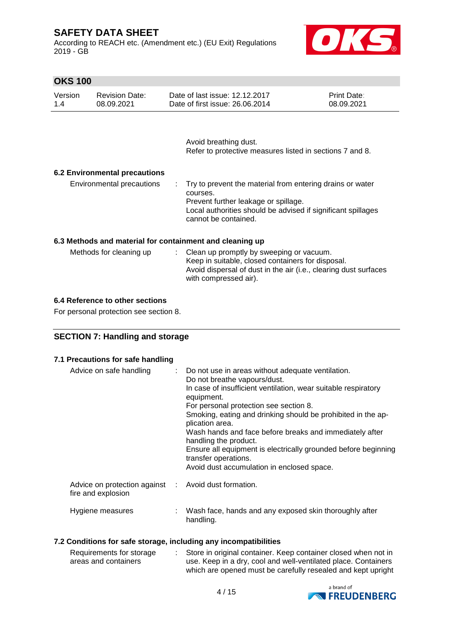According to REACH etc. (Amendment etc.) (EU Exit) Regulations 2019 - GB



## **OKS 100**

| Version | <b>Revision Date:</b> | Date of last issue: 12.12.2017  | <b>Print Date:</b> |
|---------|-----------------------|---------------------------------|--------------------|
| 1.4     | 08.09.2021            | Date of first issue: 26,06,2014 | 08.09.2021         |

Avoid breathing dust. Refer to protective measures listed in sections 7 and 8.

### **6.2 Environmental precautions**

Environmental precautions : Try to prevent the material from entering drains or water courses. Prevent further leakage or spillage. Local authorities should be advised if significant spillages cannot be contained.

### **6.3 Methods and material for containment and cleaning up**

| Methods for cleaning up | : Clean up promptly by sweeping or vacuum.<br>Keep in suitable, closed containers for disposal. |
|-------------------------|-------------------------------------------------------------------------------------------------|
|                         | Avoid dispersal of dust in the air (i.e., clearing dust surfaces<br>with compressed air).       |

### **6.4 Reference to other sections**

For personal protection see section 8.

## **SECTION 7: Handling and storage**

| 7.1 Precautions for safe handling                                          |                                                                                                                                                                                                                                                                                                                                                                                                                                                                                                                            |
|----------------------------------------------------------------------------|----------------------------------------------------------------------------------------------------------------------------------------------------------------------------------------------------------------------------------------------------------------------------------------------------------------------------------------------------------------------------------------------------------------------------------------------------------------------------------------------------------------------------|
| Advice on safe handling                                                    | Do not use in areas without adequate ventilation.<br>Do not breathe vapours/dust.<br>In case of insufficient ventilation, wear suitable respiratory<br>equipment.<br>For personal protection see section 8.<br>Smoking, eating and drinking should be prohibited in the ap-<br>plication area.<br>Wash hands and face before breaks and immediately after<br>handling the product.<br>Ensure all equipment is electrically grounded before beginning<br>transfer operations.<br>Avoid dust accumulation in enclosed space. |
| Advice on protection against : Avoid dust formation.<br>fire and explosion |                                                                                                                                                                                                                                                                                                                                                                                                                                                                                                                            |
| Hygiene measures                                                           | Wash face, hands and any exposed skin thoroughly after<br>handling.                                                                                                                                                                                                                                                                                                                                                                                                                                                        |

### **7.2 Conditions for safe storage, including any incompatibilities**

| Requirements for storage | Store in original container. Keep container closed when not in |
|--------------------------|----------------------------------------------------------------|
| areas and containers     | use. Keep in a dry, cool and well-ventilated place. Containers |
|                          | which are opened must be carefully resealed and kept upright   |

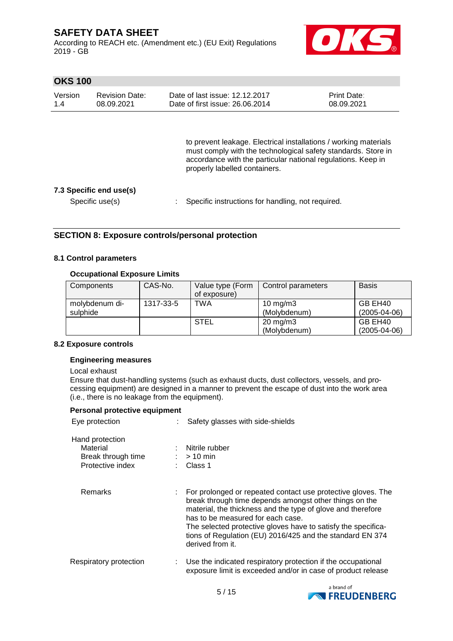According to REACH etc. (Amendment etc.) (EU Exit) Regulations 2019 - GB



## **OKS 100**

| Version | <b>Revision Date:</b> | Date of last issue: 12.12.2017  | <b>Print Date:</b> |
|---------|-----------------------|---------------------------------|--------------------|
| 1.4     | 08.09.2021            | Date of first issue: 26,06,2014 | 08.09.2021         |

to prevent leakage. Electrical installations / working materials must comply with the technological safety standards. Store in accordance with the particular national regulations. Keep in properly labelled containers.

### **7.3 Specific end use(s)**

Specific use(s) : Specific instructions for handling, not required.

### **SECTION 8: Exposure controls/personal protection**

### **8.1 Control parameters**

### **Occupational Exposure Limits**

| Components     | CAS-No.   | Value type (Form | Control parameters | <b>Basis</b>       |
|----------------|-----------|------------------|--------------------|--------------------|
|                |           | of exposure)     |                    |                    |
| molybdenum di- | 1317-33-5 | TWA              | 10 mg/m $3$        | GB EH40            |
| sulphide       |           |                  | (Molybdenum)       | $(2005 - 04 - 06)$ |
|                |           | <b>STEL</b>      | $20 \text{ mg/m}$  | GB EH40            |
|                |           |                  | (Molybdenum)       | $(2005 - 04 - 06)$ |

#### **8.2 Exposure controls**

### **Engineering measures**

#### Local exhaust

Ensure that dust-handling systems (such as exhaust ducts, dust collectors, vessels, and processing equipment) are designed in a manner to prevent the escape of dust into the work area (i.e., there is no leakage from the equipment).

| Personal protective equipment                                         |                                                                                                                                                                                                                                                                                                                                                                              |
|-----------------------------------------------------------------------|------------------------------------------------------------------------------------------------------------------------------------------------------------------------------------------------------------------------------------------------------------------------------------------------------------------------------------------------------------------------------|
| Eye protection                                                        | Safety glasses with side-shields                                                                                                                                                                                                                                                                                                                                             |
| Hand protection<br>Material<br>Break through time<br>Protective index | Nitrile rubber<br>$:$ > 10 min<br>Class 1                                                                                                                                                                                                                                                                                                                                    |
| Remarks                                                               | For prolonged or repeated contact use protective gloves. The<br>break through time depends amongst other things on the<br>material, the thickness and the type of glove and therefore<br>has to be measured for each case.<br>The selected protective gloves have to satisfy the specifica-<br>tions of Regulation (EU) 2016/425 and the standard EN 374<br>derived from it. |
| Respiratory protection                                                | Use the indicated respiratory protection if the occupational<br>exposure limit is exceeded and/or in case of product release                                                                                                                                                                                                                                                 |

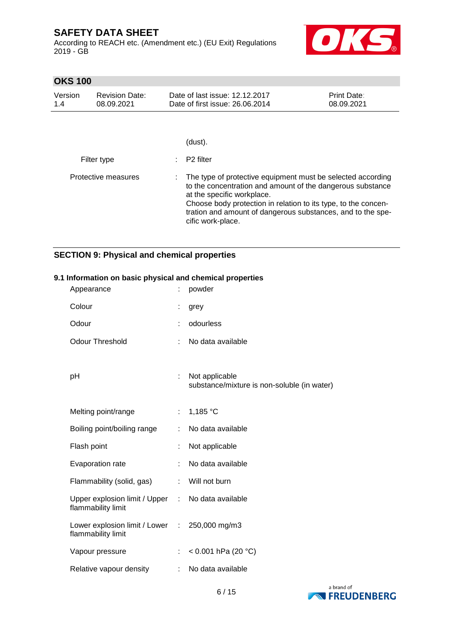According to REACH etc. (Amendment etc.) (EU Exit) Regulations 2019 - GB



## **OKS 100**

| Version<br>1.4 | <b>Revision Date:</b><br>08.09.2021 | Date of last issue: 12.12.2017<br>Date of first issue: 26,06,2014                                                                                                                                                                                                                                             | <b>Print Date:</b><br>08.09.2021 |
|----------------|-------------------------------------|---------------------------------------------------------------------------------------------------------------------------------------------------------------------------------------------------------------------------------------------------------------------------------------------------------------|----------------------------------|
|                |                                     |                                                                                                                                                                                                                                                                                                               |                                  |
|                |                                     | (dust).                                                                                                                                                                                                                                                                                                       |                                  |
|                | Filter type                         | P <sub>2</sub> filter                                                                                                                                                                                                                                                                                         |                                  |
|                | Protective measures                 | The type of protective equipment must be selected according<br>to the concentration and amount of the dangerous substance<br>at the specific workplace.<br>Choose body protection in relation to its type, to the concen-<br>tration and amount of dangerous substances, and to the spe-<br>cific work-place. |                                  |

## **SECTION 9: Physical and chemical properties**

| Appearance                                                              |    | powder                                                        |
|-------------------------------------------------------------------------|----|---------------------------------------------------------------|
| Colour                                                                  |    | grey                                                          |
| Odour                                                                   |    | odourless                                                     |
| <b>Odour Threshold</b>                                                  |    | No data available                                             |
| pH                                                                      | ÷. | Not applicable<br>substance/mixture is non-soluble (in water) |
| Melting point/range                                                     | ÷. | 1,185 °C                                                      |
| Boiling point/boiling range                                             |    | No data available                                             |
| Flash point                                                             | ÷  | Not applicable                                                |
| Evaporation rate                                                        |    | No data available                                             |
| Flammability (solid, gas)                                               | ÷  | Will not burn                                                 |
| Upper explosion limit / Upper : No data available<br>flammability limit |    |                                                               |
| Lower explosion limit / Lower : 250,000 mg/m3<br>flammability limit     |    |                                                               |
| Vapour pressure                                                         | ÷  | < $0.001$ hPa (20 °C)                                         |
| Relative vapour density                                                 | ÷  | No data available                                             |

### **9.1 Information on basic physical and chemical properties**

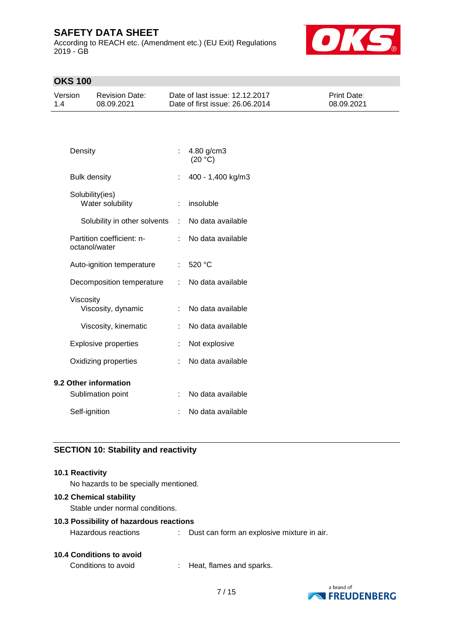According to REACH etc. (Amendment etc.) (EU Exit) Regulations 2019 - GB



## **OKS 100**

| Version | Revision Date: | Date of last issue: 12.12.2017  | <b>Print Date:</b> |
|---------|----------------|---------------------------------|--------------------|
| 1.4     | 08.09.2021     | Date of first issue: 26,06,2014 | 08.09.2021         |

| Density                                    |    | 4.80 g/cm3<br>(20 °C) |
|--------------------------------------------|----|-----------------------|
| <b>Bulk density</b>                        | t. | 400 - 1,400 kg/m3     |
| Solubility(ies)<br>Water solubility        | ÷  | insoluble             |
| Solubility in other solvents               | t. | No data available     |
| Partition coefficient: n-<br>octanol/water | t. | No data available     |
| Auto-ignition temperature                  |    | : 520 °C              |
| Decomposition temperature                  | t. | No data available     |
| Viscosity<br>Viscosity, dynamic            | t. | No data available     |
| Viscosity, kinematic                       | t. | No data available     |
| <b>Explosive properties</b>                | ÷  | Not explosive         |
| Oxidizing properties                       |    | No data available     |
| 9.2 Other information                      |    |                       |
| Sublimation point                          | ÷  | No data available     |
| Self-ignition                              |    | No data available     |

### **SECTION 10: Stability and reactivity**

### **10.1 Reactivity**

No hazards to be specially mentioned.

### **10.2 Chemical stability**

Stable under normal conditions.

#### **10.3 Possibility of hazardous reactions**

Hazardous reactions : Dust can form an explosive mixture in air.

### **10.4 Conditions to avoid**

Conditions to avoid : Heat, flames and sparks.

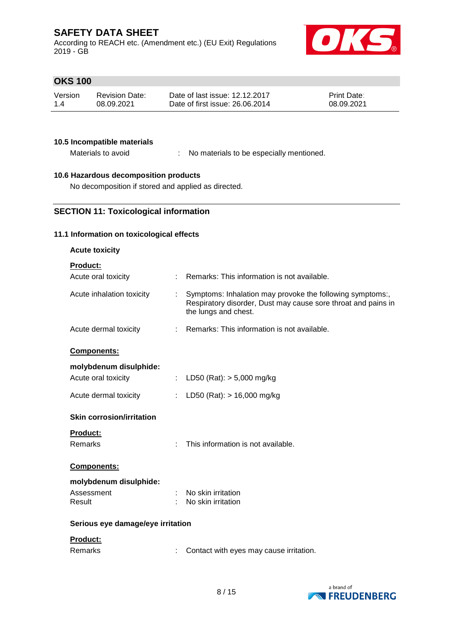According to REACH etc. (Amendment etc.) (EU Exit) Regulations 2019 - GB



## **OKS 100**

| Version | <b>Revision Date:</b> | Date of last issue: 12.12.2017  | <b>Print Date:</b> |
|---------|-----------------------|---------------------------------|--------------------|
| 1.4     | 08.09.2021            | Date of first issue: 26,06,2014 | 08.09.2021         |

### **10.5 Incompatible materials**

Materials to avoid : No materials to be especially mentioned.

## **10.6 Hazardous decomposition products**

No decomposition if stored and applied as directed.

## **SECTION 11: Toxicological information**

### **11.1 Information on toxicological effects**

| <b>Acute toxicity</b>             |    |                                                                                                                                                    |
|-----------------------------------|----|----------------------------------------------------------------------------------------------------------------------------------------------------|
| <b>Product:</b>                   |    |                                                                                                                                                    |
| Acute oral toxicity               | t. | Remarks: This information is not available.                                                                                                        |
| Acute inhalation toxicity         | t. | Symptoms: Inhalation may provoke the following symptoms:,<br>Respiratory disorder, Dust may cause sore throat and pains in<br>the lungs and chest. |
| Acute dermal toxicity             |    | Remarks: This information is not available.                                                                                                        |
| <b>Components:</b>                |    |                                                                                                                                                    |
| molybdenum disulphide:            |    |                                                                                                                                                    |
| Acute oral toxicity               |    | : LD50 (Rat): $> 5,000$ mg/kg                                                                                                                      |
| Acute dermal toxicity             | ÷. | LD50 (Rat): $> 16,000$ mg/kg                                                                                                                       |
| <b>Skin corrosion/irritation</b>  |    |                                                                                                                                                    |
| <b>Product:</b>                   |    |                                                                                                                                                    |
| Remarks                           | ÷  | This information is not available.                                                                                                                 |
| <b>Components:</b>                |    |                                                                                                                                                    |
| molybdenum disulphide:            |    |                                                                                                                                                    |
| Assessment                        |    | No skin irritation                                                                                                                                 |
| Result                            |    | No skin irritation                                                                                                                                 |
| Serious eye damage/eye irritation |    |                                                                                                                                                    |
| <b>Product:</b>                   |    |                                                                                                                                                    |
| <b>Remarks</b>                    |    | Contact with eyes may cause irritation.                                                                                                            |

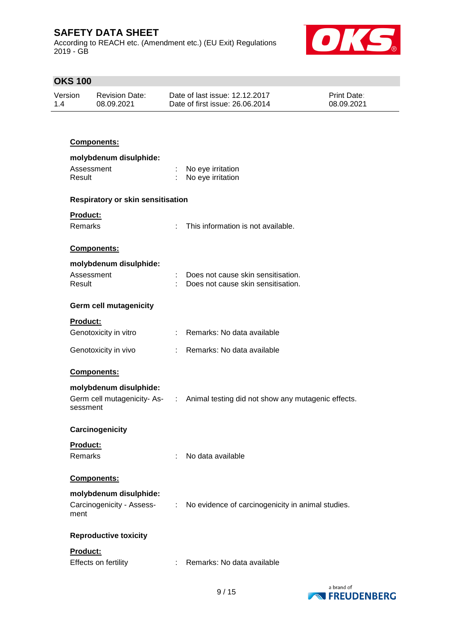According to REACH etc. (Amendment etc.) (EU Exit) Regulations 2019 - GB



# **OKS 100**

| Version | <b>Revision Date:</b> | Date of last issue: 12.12.2017  | <b>Print Date:</b> |
|---------|-----------------------|---------------------------------|--------------------|
| 1.4     | 08.09.2021            | Date of first issue: 26,06,2014 | 08.09.2021         |

## **Components:**

| molybdenum disulphide:            |    |                                                                                  |
|-----------------------------------|----|----------------------------------------------------------------------------------|
| Assessment<br>Result              |    | : No eye irritation<br>No eye irritation                                         |
| Respiratory or skin sensitisation |    |                                                                                  |
| <b>Product:</b>                   |    |                                                                                  |
| <b>Remarks</b>                    |    | This information is not available.                                               |
| Components:                       |    |                                                                                  |
| molybdenum disulphide:            |    |                                                                                  |
| Assessment                        |    | Does not cause skin sensitisation.                                               |
| Result                            |    | Does not cause skin sensitisation.                                               |
| <b>Germ cell mutagenicity</b>     |    |                                                                                  |
| <b>Product:</b>                   |    |                                                                                  |
| Genotoxicity in vitro             |    | : Remarks: No data available                                                     |
| Genotoxicity in vivo              |    | : Remarks: No data available                                                     |
| Components:                       |    |                                                                                  |
| molybdenum disulphide:            |    |                                                                                  |
| sessment                          |    | Germ cell mutagenicity- As- : Animal testing did not show any mutagenic effects. |
|                                   |    |                                                                                  |
| Carcinogenicity                   |    |                                                                                  |
| <b>Product:</b>                   |    |                                                                                  |
| Remarks                           | t. | No data available                                                                |
| Components:                       |    |                                                                                  |
| molybdenum disulphide:            |    |                                                                                  |
| Carcinogenicity - Assess-<br>ment | ÷  | No evidence of carcinogenicity in animal studies.                                |
| <b>Reproductive toxicity</b>      |    |                                                                                  |
| Product:                          |    |                                                                                  |
| Effects on fertility              |    | Remarks: No data available                                                       |
|                                   |    |                                                                                  |

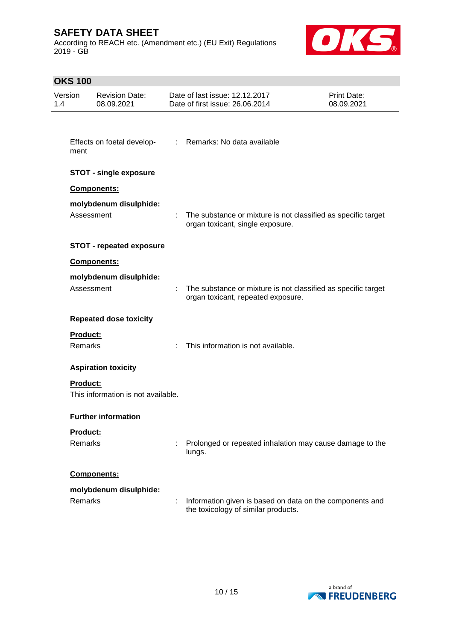According to REACH etc. (Amendment etc.) (EU Exit) Regulations 2019 - GB



# **OKS 100**

| Version<br>1.4 |                                   | <b>Revision Date:</b><br>08.09.2021 | Date of last issue: 12.12.2017<br>Date of first issue: 26.06.2014                                     | <b>Print Date:</b><br>08.09.2021 |
|----------------|-----------------------------------|-------------------------------------|-------------------------------------------------------------------------------------------------------|----------------------------------|
|                | ment                              | Effects on foetal develop-          | : Remarks: No data available                                                                          |                                  |
|                |                                   | <b>STOT - single exposure</b>       |                                                                                                       |                                  |
|                |                                   | Components:                         |                                                                                                       |                                  |
|                | Assessment                        | molybdenum disulphide:              | : The substance or mixture is not classified as specific target<br>organ toxicant, single exposure.   |                                  |
|                |                                   | <b>STOT - repeated exposure</b>     |                                                                                                       |                                  |
|                |                                   | Components:                         |                                                                                                       |                                  |
|                | Assessment                        | molybdenum disulphide:              | : The substance or mixture is not classified as specific target<br>organ toxicant, repeated exposure. |                                  |
|                |                                   | <b>Repeated dose toxicity</b>       |                                                                                                       |                                  |
|                | <b>Product:</b><br><b>Remarks</b> |                                     | This information is not available.                                                                    |                                  |
|                |                                   | <b>Aspiration toxicity</b>          |                                                                                                       |                                  |
|                | <b>Product:</b>                   | This information is not available.  |                                                                                                       |                                  |
|                |                                   | <b>Further information</b>          |                                                                                                       |                                  |
|                | Product:<br>Remarks               |                                     | Prolonged or repeated inhalation may cause damage to the<br>lungs.                                    |                                  |
|                |                                   | Components:                         |                                                                                                       |                                  |
|                | Remarks                           | molybdenum disulphide:              | Information given is based on data on the components and<br>the toxicology of similar products.       |                                  |

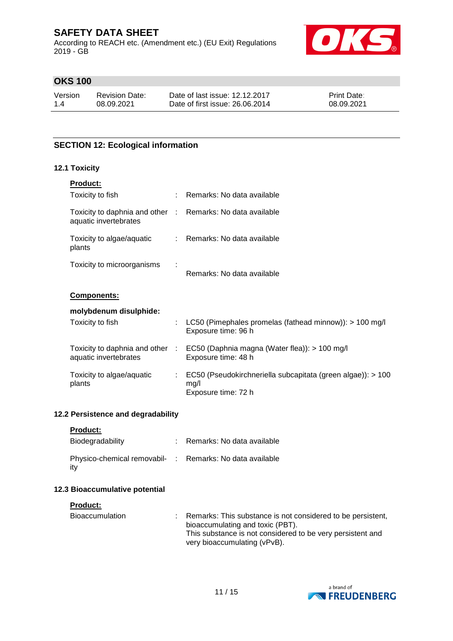According to REACH etc. (Amendment etc.) (EU Exit) Regulations 2019 - GB



## **OKS 100**

| Version | <b>Revision Date:</b> | Date of last issue: 12.12.2017  | <b>Print Date:</b> |
|---------|-----------------------|---------------------------------|--------------------|
| 1.4     | 08.09.2021            | Date of first issue: 26,06,2014 | 08.09.2021         |

## **SECTION 12: Ecological information**

### **12.1 Toxicity**

| <b>Product:</b>                                                                     |    |                                                                                            |
|-------------------------------------------------------------------------------------|----|--------------------------------------------------------------------------------------------|
| Toxicity to fish                                                                    |    | : Remarks: No data available                                                               |
| Toxicity to daphnia and other : Remarks: No data available<br>aquatic invertebrates |    |                                                                                            |
| Toxicity to algae/aquatic<br>plants                                                 |    | : Remarks: No data available                                                               |
| Toxicity to microorganisms                                                          |    | Remarks: No data available                                                                 |
| <b>Components:</b>                                                                  |    |                                                                                            |
| molybdenum disulphide:                                                              |    |                                                                                            |
| Toxicity to fish                                                                    | ÷  | LC50 (Pimephales promelas (fathead minnow)): $> 100$ mg/l<br>Exposure time: 96 h           |
| Toxicity to daphnia and other :<br>aquatic invertebrates                            |    | EC50 (Daphnia magna (Water flea)): > 100 mg/l<br>Exposure time: 48 h                       |
| Toxicity to algae/aquatic<br>plants                                                 | ÷. | EC50 (Pseudokirchneriella subcapitata (green algae)): > 100<br>mg/l<br>Exposure time: 72 h |
|                                                                                     |    |                                                                                            |

### **12.2 Persistence and degradability**

**Product:**

| Biodegradability                                                | Remarks: No data available |
|-----------------------------------------------------------------|----------------------------|
| Physico-chemical removabil- : Remarks: No data available<br>itv |                            |

### **12.3 Bioaccumulative potential**

### **Product:**

| Bioaccumulation | : Remarks: This substance is not considered to be persistent,<br>bioaccumulating and toxic (PBT). |
|-----------------|---------------------------------------------------------------------------------------------------|
|                 | This substance is not considered to be very persistent and                                        |
|                 | very bioaccumulating (vPvB).                                                                      |

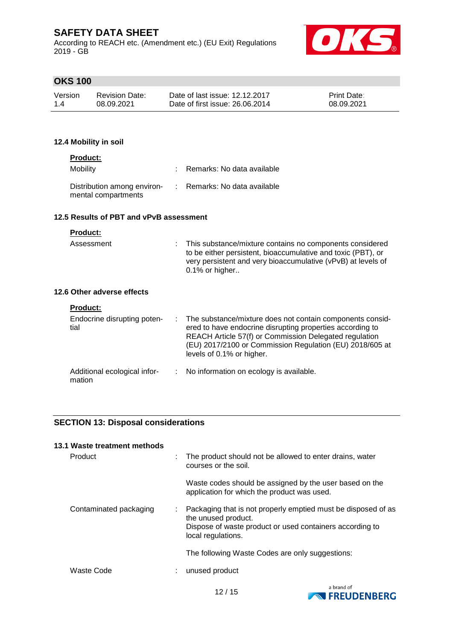According to REACH etc. (Amendment etc.) (EU Exit) Regulations 2019 - GB



## **OKS 100**

| Version | <b>Revision Date:</b> | Date of last issue: 12.12.2017  | <b>Print Date:</b> |
|---------|-----------------------|---------------------------------|--------------------|
| 1.4     | 08.09.2021            | Date of first issue: 26,06,2014 | 08.09.2021         |

### **12.4 Mobility in soil**

### **Product:**

| Mobility                                           | : Remarks: No data available |
|----------------------------------------------------|------------------------------|
| Distribution among environ-<br>mental compartments | : Remarks: No data available |

### **12.5 Results of PBT and vPvB assessment**

### **Product:**

| Assessment                 | : This substance/mixture contains no components considered<br>to be either persistent, bioaccumulative and toxic (PBT), or<br>very persistent and very bioaccumulative (vPvB) at levels of<br>0.1% or higher |
|----------------------------|--------------------------------------------------------------------------------------------------------------------------------------------------------------------------------------------------------------|
| 12.6 Other adverse effects |                                                                                                                                                                                                              |
| <b>Product:</b>            |                                                                                                                                                                                                              |

| Endocrine disrupting poten-<br>tial    | : The substance/mixture does not contain components consid-<br>ered to have endocrine disrupting properties according to<br>REACH Article 57(f) or Commission Delegated regulation<br>(EU) 2017/2100 or Commission Regulation (EU) 2018/605 at<br>levels of 0.1% or higher. |
|----------------------------------------|-----------------------------------------------------------------------------------------------------------------------------------------------------------------------------------------------------------------------------------------------------------------------------|
| Additional ecological infor-<br>mation | $\therefore$ No information on ecology is available.                                                                                                                                                                                                                        |

### **SECTION 13: Disposal considerations**

| 13.1 Waste treatment methods |   |                                                                                                                                                                        |
|------------------------------|---|------------------------------------------------------------------------------------------------------------------------------------------------------------------------|
| Product                      | ÷ | The product should not be allowed to enter drains, water<br>courses or the soil.                                                                                       |
|                              |   | Waste codes should be assigned by the user based on the<br>application for which the product was used.                                                                 |
| Contaminated packaging       | ÷ | Packaging that is not properly emptied must be disposed of as<br>the unused product.<br>Dispose of waste product or used containers according to<br>local regulations. |
|                              |   | The following Waste Codes are only suggestions:                                                                                                                        |
| Waste Code                   |   | unused product                                                                                                                                                         |

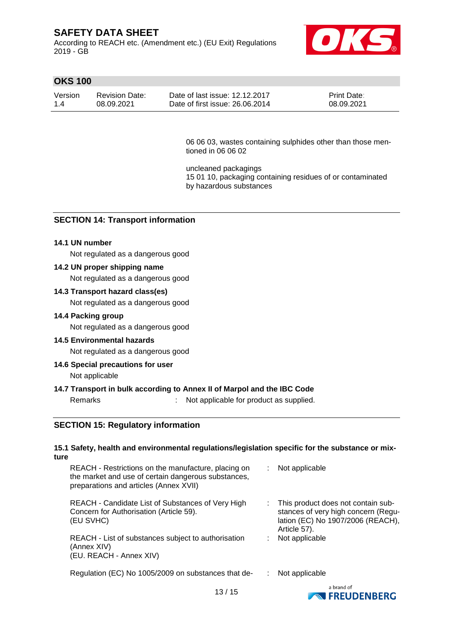According to REACH etc. (Amendment etc.) (EU Exit) Regulations 2019 - GB



## **OKS 100**

| Version | <b>Revision Date:</b> | Date of last issue: 12.12.2017  | <b>Print Date:</b> |
|---------|-----------------------|---------------------------------|--------------------|
| 1.4     | 08.09.2021            | Date of first issue: 26,06,2014 | 08.09.2021         |

06 06 03, wastes containing sulphides other than those mentioned in 06 06 02

uncleaned packagings 15 01 10, packaging containing residues of or contaminated by hazardous substances

### **SECTION 14: Transport information**

#### **14.1 UN number**

Not regulated as a dangerous good

#### **14.2 UN proper shipping name**

Not regulated as a dangerous good

### **14.3 Transport hazard class(es)**

Not regulated as a dangerous good

#### **14.4 Packing group**

Not regulated as a dangerous good

#### **14.5 Environmental hazards**

Not regulated as a dangerous good

#### **14.6 Special precautions for user**

Not applicable

#### **14.7 Transport in bulk according to Annex II of Marpol and the IBC Code**

Remarks : Not applicable for product as supplied.

### **SECTION 15: Regulatory information**

#### **15.1 Safety, health and environmental regulations/legislation specific for the substance or mixture**

| REACH - Restrictions on the manufacture, placing on<br>the market and use of certain dangerous substances,<br>preparations and articles (Annex XVII) | Not applicable                                                                                                                   |
|------------------------------------------------------------------------------------------------------------------------------------------------------|----------------------------------------------------------------------------------------------------------------------------------|
| REACH - Candidate List of Substances of Very High<br>Concern for Authorisation (Article 59).<br>(EU SVHC)                                            | : This product does not contain sub-<br>stances of very high concern (Regu-<br>lation (EC) No 1907/2006 (REACH),<br>Article 57). |
| REACH - List of substances subject to authorisation<br>(Annex XIV)<br>(EU. REACH - Annex XIV)                                                        | Not applicable                                                                                                                   |
| Regulation (EC) No 1005/2009 on substances that de-                                                                                                  | Not applicable                                                                                                                   |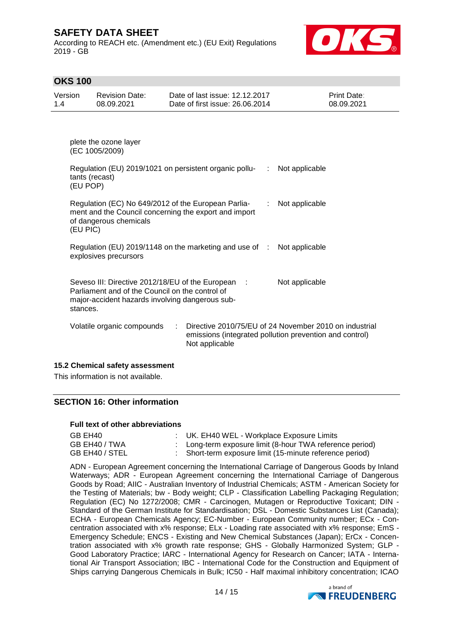According to REACH etc. (Amendment etc.) (EU Exit) Regulations 2019 - GB



## **OKS 100**

| Version | Revision Date: | Date of last issue: 12.12.2017  | <b>Print Date:</b> |
|---------|----------------|---------------------------------|--------------------|
| 1.4     | 08.09.2021     | Date of first issue: 26,06,2014 | 08.09.2021         |

plete the ozone layer (EC 1005/2009)

| Regulation (EU) 2019/1021 on persistent organic pollu-<br>tants (recast)<br>(EU POP)                                                                                 | t.             | Not applicable                                                                                                    |
|----------------------------------------------------------------------------------------------------------------------------------------------------------------------|----------------|-------------------------------------------------------------------------------------------------------------------|
| Regulation (EC) No 649/2012 of the European Parlia-<br>ment and the Council concerning the export and import<br>of dangerous chemicals<br>(EU PIC)                   | ÷.             | Not applicable                                                                                                    |
| Regulation (EU) 2019/1148 on the marketing and use of :<br>explosives precursors                                                                                     |                | Not applicable                                                                                                    |
| Seveso III: Directive 2012/18/EU of the European :<br>Parliament and of the Council on the control of<br>major-accident hazards involving dangerous sub-<br>stances. |                | Not applicable                                                                                                    |
| Volatile organic compounds<br>$\mathcal{L}$                                                                                                                          | Not applicable | Directive 2010/75/EU of 24 November 2010 on industrial<br>emissions (integrated pollution prevention and control) |

#### **15.2 Chemical safety assessment**

This information is not available.

### **SECTION 16: Other information**

#### **Full text of other abbreviations**

| GB EH40        | : UK. EH40 WEL - Workplace Exposure Limits               |
|----------------|----------------------------------------------------------|
| GB EH40 / TWA  | : Long-term exposure limit (8-hour TWA reference period) |
| GB EH40 / STEL | : Short-term exposure limit (15-minute reference period) |

ADN - European Agreement concerning the International Carriage of Dangerous Goods by Inland Waterways; ADR - European Agreement concerning the International Carriage of Dangerous Goods by Road; AIIC - Australian Inventory of Industrial Chemicals; ASTM - American Society for the Testing of Materials; bw - Body weight; CLP - Classification Labelling Packaging Regulation; Regulation (EC) No 1272/2008; CMR - Carcinogen, Mutagen or Reproductive Toxicant; DIN - Standard of the German Institute for Standardisation; DSL - Domestic Substances List (Canada); ECHA - European Chemicals Agency; EC-Number - European Community number; ECx - Concentration associated with x% response; ELx - Loading rate associated with x% response; EmS - Emergency Schedule; ENCS - Existing and New Chemical Substances (Japan); ErCx - Concentration associated with x% growth rate response; GHS - Globally Harmonized System; GLP - Good Laboratory Practice; IARC - International Agency for Research on Cancer; IATA - International Air Transport Association; IBC - International Code for the Construction and Equipment of Ships carrying Dangerous Chemicals in Bulk; IC50 - Half maximal inhibitory concentration; ICAO